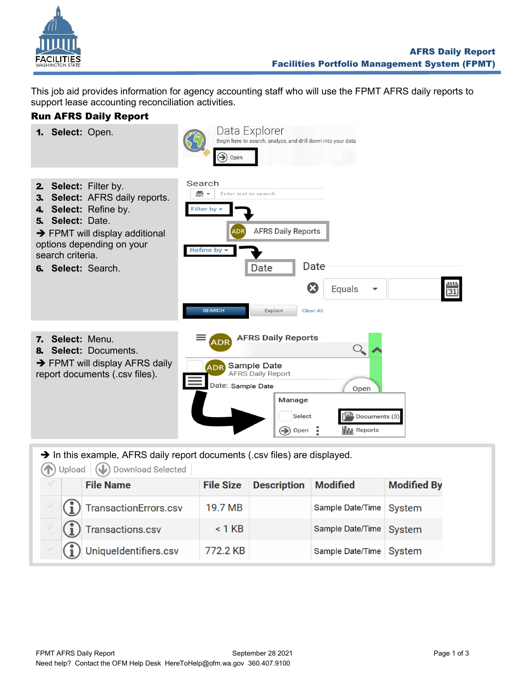

This job aid provides information for agency accounting staff who will use the FPMT AFRS daily reports to support lease accounting reconciliation activities.

## Run AFRS Daily Report



|  | <b>File Name</b>                      |          | <b>File Size Description Modified</b> |                         | <b>Modified by</b> |
|--|---------------------------------------|----------|---------------------------------------|-------------------------|--------------------|
|  | $\binom{1}{1}$ Transaction Errors.csv | 19.7 MB  |                                       | Sample Date/Time System |                    |
|  | $\binom{?}{1}$ Transactions.csv       | $< 1$ KB |                                       | Sample Date/Time System |                    |
|  | (1) Uniqueldentifiers.csv             | 772.2 KB |                                       | Sample Date/Time System |                    |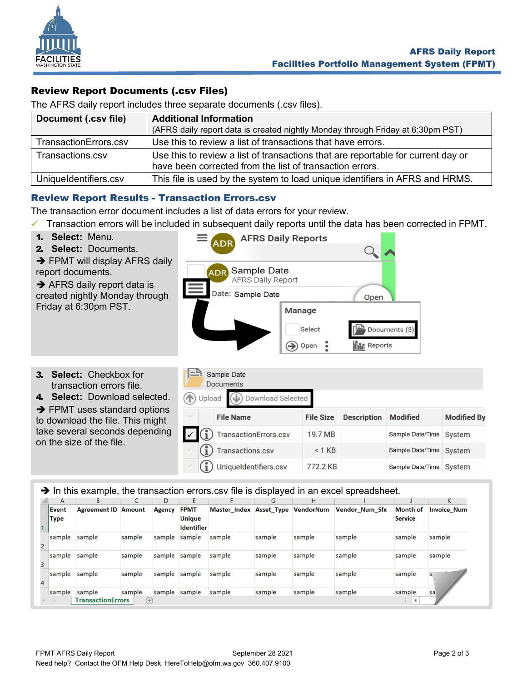

## Review Report Documents (.csv Files)

The AFRS daily report includes three separate documents (.csv files).

| Document (.csv file)  | <b>Additional Information</b>                                                                                                                |  |  |  |  |
|-----------------------|----------------------------------------------------------------------------------------------------------------------------------------------|--|--|--|--|
|                       | (AFRS daily report data is created nightly Monday through Friday at 6:30pm PST)                                                              |  |  |  |  |
| TransactionErrors.csv | Use this to review a list of transactions that have errors.                                                                                  |  |  |  |  |
| Transactions.csv      | Use this to review a list of transactions that are reportable for current day or<br>have been corrected from the list of transaction errors. |  |  |  |  |
| UniqueIdentifiers.csv | This file is used by the system to load unique identifiers in AFRS and HRMS.                                                                 |  |  |  |  |

## Review Report Results - Transaction Errors.csv

The transaction error document includes a list of data errors for your review.

- ✓ Transaction errors will be included in subsequent daily reports until the data has been corrected in FPMT.
- 1. **Select:** Menu.
- 2. **Select:** Documents.
- **→ FPMT will display AFRS daily** report documents.

**→ AFRS daily report data is** created nightly Monday through Friday at 6:30pm PST.

- **AFRS Daily Reports ADR** Sample Date **AFRS Daily Report** Date: Sample Date Open Manage Select Documents (3) **III** Reports Open  $\left( \bigrightarrow \right)$
- 3. **Select:** Checkbox for transaction errors file.
- 4. **Select:** Download selected. **→ FPMT uses standard options**

to download the file. This might take several seconds depending on the size of the file.

|                                 | <b>Documents</b>        |                  |                    |                  |                    |  |  |  |  |
|---------------------------------|-------------------------|------------------|--------------------|------------------|--------------------|--|--|--|--|
| Download Selected<br>(1) Upload |                         |                  |                    |                  |                    |  |  |  |  |
|                                 | <b>File Name</b>        | <b>File Size</b> | <b>Description</b> | <b>Modified</b>  | <b>Modified By</b> |  |  |  |  |
|                                 | TransactionErrors.csv   | 19.7 MB          |                    | Sample Date/Time | System             |  |  |  |  |
|                                 | <b>Transactions.csv</b> | $< 1$ KB         |                    | Sample Date/Time | <b>System</b>      |  |  |  |  |
|                                 | Uniqueldentifiers.csv   | 772.2 KB         |                    | Sample Date/Time | <b>System</b>      |  |  |  |  |

→ In this example, the transaction errors.csv file is displayed in an excel spreadsheet.

 $\Gamma$  Sample Date

|                | A                    | B                                  |                 | D             |                                                   |                         | G      | H         |                       |                                   | K                  |
|----------------|----------------------|------------------------------------|-----------------|---------------|---------------------------------------------------|-------------------------|--------|-----------|-----------------------|-----------------------------------|--------------------|
|                | Event<br><b>Type</b> | <b>Agreement ID Amount</b>         |                 | <b>Agency</b> | <b>FPMT</b><br><b>Unique</b><br><b>Identifier</b> | Master_Index Asset_Type |        | VendorNum | <b>Vendor Num Sfx</b> | <b>Month of</b><br><b>Service</b> | <b>Invoice Num</b> |
| $\overline{2}$ | sample               | sample                             | sample          | sample        | sample                                            | sample                  | sample | sample    | sample                | sample                            | sample             |
|                | sample               | sample                             | sample          | sample        | sample                                            | sample                  | sample | sample    | sample                | sample                            | sample             |
|                | sample               | sample                             | sample          | sample sample |                                                   | sample                  | sample | sample    | sample                | sample                            |                    |
|                | sample               | sample<br><b>TransactionErrors</b> | sample<br>$(+)$ | sample sample |                                                   | sample                  | sample | sample    | sample                | sample                            | sa                 |